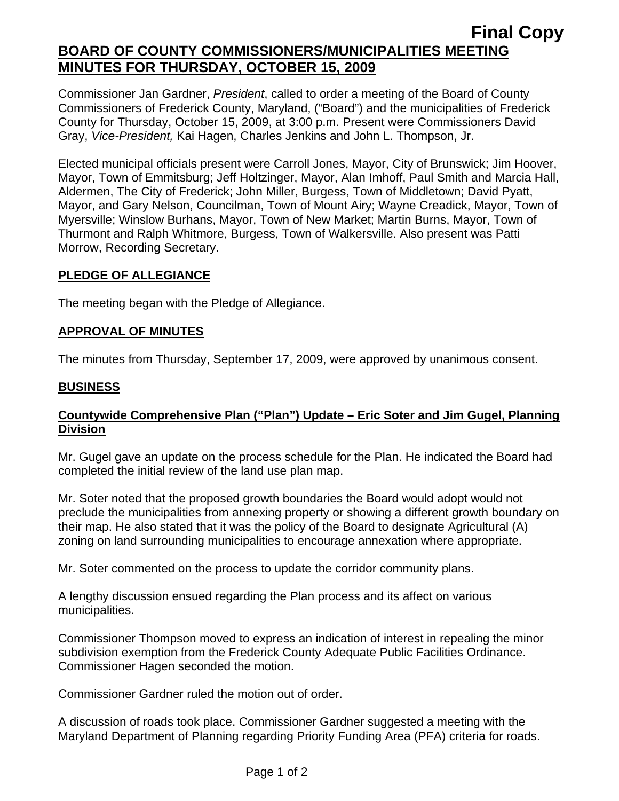# **Final Copy BOARD OF COUNTY COMMISSIONERS/MUNICIPALITIES MEETING MINUTES FOR THURSDAY, OCTOBER 15, 2009**

Commissioner Jan Gardner, *President*, called to order a meeting of the Board of County Commissioners of Frederick County, Maryland, ("Board") and the municipalities of Frederick County for Thursday, October 15, 2009, at 3:00 p.m. Present were Commissioners David Gray, *Vice-President,* Kai Hagen, Charles Jenkins and John L. Thompson, Jr.

Elected municipal officials present were Carroll Jones, Mayor, City of Brunswick; Jim Hoover, Mayor, Town of Emmitsburg; Jeff Holtzinger, Mayor, Alan Imhoff, Paul Smith and Marcia Hall, Aldermen, The City of Frederick; John Miller, Burgess, Town of Middletown; David Pyatt, Mayor, and Gary Nelson, Councilman, Town of Mount Airy; Wayne Creadick, Mayor, Town of Myersville; Winslow Burhans, Mayor, Town of New Market; Martin Burns, Mayor, Town of Thurmont and Ralph Whitmore, Burgess, Town of Walkersville. Also present was Patti Morrow, Recording Secretary.

## **PLEDGE OF ALLEGIANCE**

The meeting began with the Pledge of Allegiance.

## **APPROVAL OF MINUTES**

The minutes from Thursday, September 17, 2009, were approved by unanimous consent.

#### **BUSINESS**

## **Countywide Comprehensive Plan ("Plan") Update – Eric Soter and Jim Gugel, Planning Division**

Mr. Gugel gave an update on the process schedule for the Plan. He indicated the Board had completed the initial review of the land use plan map.

Mr. Soter noted that the proposed growth boundaries the Board would adopt would not preclude the municipalities from annexing property or showing a different growth boundary on their map. He also stated that it was the policy of the Board to designate Agricultural (A) zoning on land surrounding municipalities to encourage annexation where appropriate.

Mr. Soter commented on the process to update the corridor community plans.

A lengthy discussion ensued regarding the Plan process and its affect on various municipalities.

Commissioner Thompson moved to express an indication of interest in repealing the minor subdivision exemption from the Frederick County Adequate Public Facilities Ordinance. Commissioner Hagen seconded the motion.

Commissioner Gardner ruled the motion out of order.

A discussion of roads took place. Commissioner Gardner suggested a meeting with the Maryland Department of Planning regarding Priority Funding Area (PFA) criteria for roads.